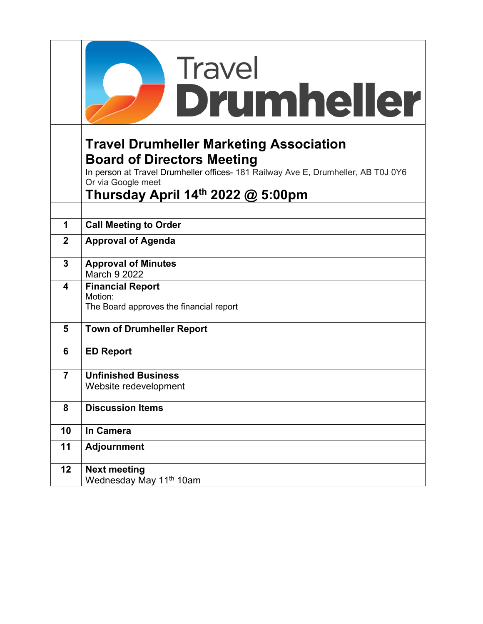|                | Travel<br><b>Drumheller</b>                                                                                                                                                                                                         |
|----------------|-------------------------------------------------------------------------------------------------------------------------------------------------------------------------------------------------------------------------------------|
|                |                                                                                                                                                                                                                                     |
|                | <b>Travel Drumheller Marketing Association</b><br><b>Board of Directors Meeting</b><br>In person at Travel Drumheller offices- 181 Railway Ave E, Drumheller, AB T0J 0Y6<br>Or via Google meet<br>Thursday April 14th 2022 @ 5:00pm |
|                |                                                                                                                                                                                                                                     |
| 1              | <b>Call Meeting to Order</b>                                                                                                                                                                                                        |
| $\mathbf{2}$   | <b>Approval of Agenda</b>                                                                                                                                                                                                           |
| 3              | <b>Approval of Minutes</b><br>March 9 2022                                                                                                                                                                                          |
| 4              | <b>Financial Report</b><br>Motion:<br>The Board approves the financial report                                                                                                                                                       |
| 5              | <b>Town of Drumheller Report</b>                                                                                                                                                                                                    |
| 6              | <b>ED Report</b>                                                                                                                                                                                                                    |
| $\overline{7}$ | <b>Unfinished Business</b><br>Website redevelopment                                                                                                                                                                                 |
| 8              | <b>Discussion Items</b>                                                                                                                                                                                                             |
| 10             | In Camera                                                                                                                                                                                                                           |
| 11             | <b>Adjournment</b>                                                                                                                                                                                                                  |
| 12             | <b>Next meeting</b><br>Wednesday May 11 <sup>th</sup> 10am                                                                                                                                                                          |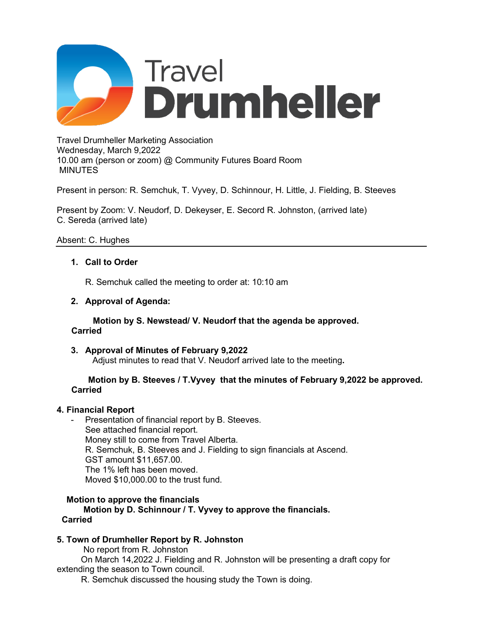

Travel Drumheller Marketing Association Wednesday, March 9,2022 10.00 am (person or zoom) @ Community Futures Board Room MINUTES

Present in person: R. Semchuk, T. Vyvey, D. Schinnour, H. Little, J. Fielding, B. Steeves

Present by Zoom: V. Neudorf, D. Dekeyser, E. Secord R. Johnston, (arrived late) C. Sereda (arrived late)

## Absent: C. Hughes

## **1. Call to Order**

R. Semchuk called the meeting to order at: 10:10 am

### **2. Approval of Agenda:**

 **Motion by S. Newstead/ V. Neudorf that the agenda be approved. Carried**

**3. Approval of Minutes of February 9,2022** Adjust minutes to read that V. Neudorf arrived late to the meeting**.** 

### **Motion by B. Steeves / T.Vyvey that the minutes of February 9,2022 be approved. Carried**

## **4. Financial Report**

Presentation of financial report by B. Steeves. See attached financial report. Money still to come from Travel Alberta. R. Semchuk, B. Steeves and J. Fielding to sign financials at Ascend. GST amount \$11,657.00. The 1% left has been moved. Moved \$10,000.00 to the trust fund.

### **Motion to approve the financials**

 **Motion by D. Schinnour / T. Vyvey to approve the financials. Carried**

## **5. Town of Drumheller Report by R. Johnston**

No report from R. Johnston

 On March 14,2022 J. Fielding and R. Johnston will be presenting a draft copy for extending the season to Town council.

R. Semchuk discussed the housing study the Town is doing.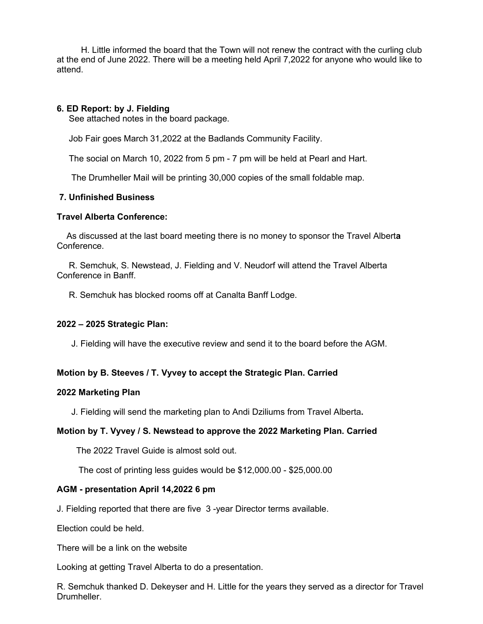H. Little informed the board that the Town will not renew the contract with the curling club at the end of June 2022. There will be a meeting held April 7,2022 for anyone who would like to attend.

### **6. ED Report: by J. Fielding**

See attached notes in the board package.

Job Fair goes March 31,2022 at the Badlands Community Facility.

The social on March 10, 2022 from 5 pm - 7 pm will be held at Pearl and Hart.

The Drumheller Mail will be printing 30,000 copies of the small foldable map.

### **7. Unfinished Business**

### **Travel Alberta Conference:**

 As discussed at the last board meeting there is no money to sponsor the Travel Albert**a**  Conference.

 R. Semchuk, S. Newstead, J. Fielding and V. Neudorf will attend the Travel Alberta Conference in Banff.

R. Semchuk has blocked rooms off at Canalta Banff Lodge.

### **2022 – 2025 Strategic Plan:**

J. Fielding will have the executive review and send it to the board before the AGM.

## **Motion by B. Steeves / T. Vyvey to accept the Strategic Plan. Carried**

### **2022 Marketing Plan**

J. Fielding will send the marketing plan to Andi Dziliums from Travel Alberta**.**

## **Motion by T. Vyvey / S. Newstead to approve the 2022 Marketing Plan. Carried**

The 2022 Travel Guide is almost sold out.

The cost of printing less guides would be \$12,000.00 - \$25,000.00

### **AGM - presentation April 14,2022 6 pm**

J. Fielding reported that there are five 3 -year Director terms available.

Election could be held.

There will be a link on the website

Looking at getting Travel Alberta to do a presentation.

R. Semchuk thanked D. Dekeyser and H. Little for the years they served as a director for Travel Drumheller.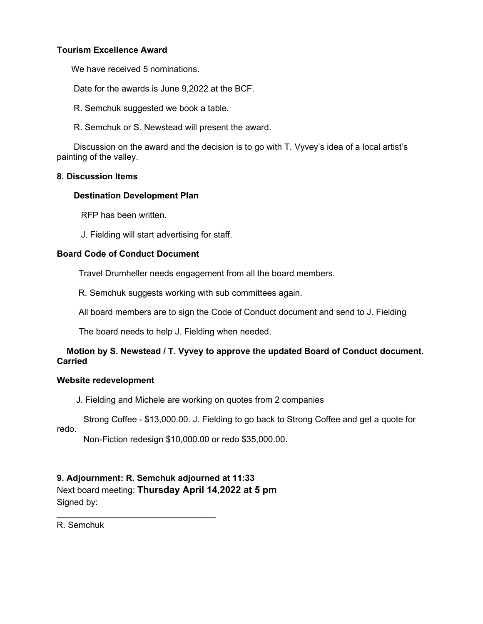## **Tourism Excellence Award**

We have received 5 nominations.

Date for the awards is June 9,2022 at the BCF.

R. Semchuk suggested we book a table.

R. Semchuk or S. Newstead will present the award.

 Discussion on the award and the decision is to go with T. Vyvey's idea of a local artist's painting of the valley.

### **8. Discussion Items**

### **Destination Development Plan**

RFP has been written.

J. Fielding will start advertising for staff.

### **Board Code of Conduct Document**

Travel Drumheller needs engagement from all the board members.

R. Semchuk suggests working with sub committees again.

All board members are to sign the Code of Conduct document and send to J. Fielding

The board needs to help J. Fielding when needed.

## **Motion by S. Newstead / T. Vyvey to approve the updated Board of Conduct document. Carried**

### **Website redevelopment**

J. Fielding and Michele are working on quotes from 2 companies

Strong Coffee - \$13,000.00. J. Fielding to go back to Strong Coffee and get a quote for

redo.

Non-Fiction redesign \$10,000.00 or redo \$35,000.00**.** 

## **9. Adjournment: R. Semchuk adjourned at 11:33** Next board meeting: **Thursday April 14,2022 at 5 pm** Signed by:

\_\_\_\_\_\_\_\_\_\_\_\_\_\_\_\_\_\_\_\_\_\_\_\_\_\_\_\_\_\_\_\_\_

R. Semchuk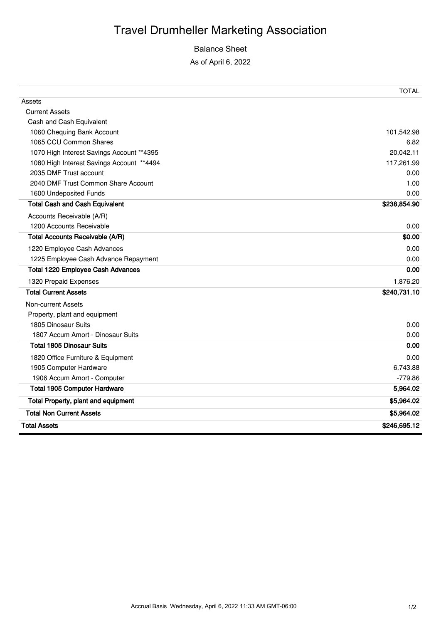## Balance Sheet

As of April 6, 2022

| 1225 Employee Cash Advance Repayment | 0.00         |
|--------------------------------------|--------------|
| Total 1220 Employee Cash Advances    | 0.00         |
| 1320 Prepaid Expenses                | 1,876.20     |
| <b>Total Current Assets</b>          | \$240,731.10 |
| Non-current Assets                   |              |
|                                      |              |
| Property, plant and equipment        |              |
| 1805 Dinosaur Suits                  | 0.00         |
| 1807 Accum Amort - Dinosaur Suits    | 0.00         |
| <b>Total 1805 Dinosaur Suits</b>     | 0.00         |
| 1820 Office Furniture & Equipment    | 0.00         |
| 1905 Computer Hardware               | 6.743.88     |
| 1906 Accum Amort - Computer          | $-779.86$    |
|                                      |              |
| <b>Total 1905 Computer Hardware</b>  | 5,964.02     |
| Total Property, plant and equipment  | \$5,964.02   |
| <b>Total Non Current Assets</b>      | \$5,964.02   |
|                                      |              |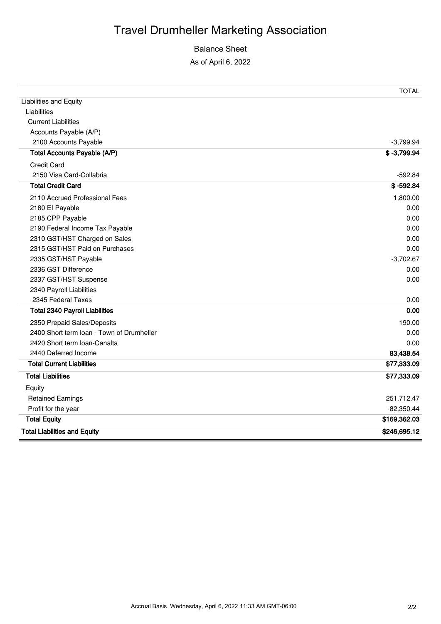## Balance Sheet

As of April 6, 2022

|                                           | <b>TOTAL</b>  |
|-------------------------------------------|---------------|
| <b>Liabilities and Equity</b>             |               |
| Liabilities                               |               |
| <b>Current Liabilities</b>                |               |
| Accounts Payable (A/P)                    |               |
| 2100 Accounts Payable                     | $-3,799.94$   |
| Total Accounts Payable (A/P)              | $$ -3,799.94$ |
| <b>Credit Card</b>                        |               |
| 2150 Visa Card-Collabria                  | $-592.84$     |
| <b>Total Credit Card</b>                  | $$ -592.84$   |
| 2110 Accrued Professional Fees            | 1,800.00      |
| 2180 El Payable                           | 0.00          |
| 2185 CPP Payable                          | 0.00          |
| 2190 Federal Income Tax Payable           | 0.00          |
| 2310 GST/HST Charged on Sales             | 0.00          |
| 2315 GST/HST Paid on Purchases            | 0.00          |
| 2335 GST/HST Payable                      | $-3,702.67$   |
| 2336 GST Difference                       | 0.00          |
| 2337 GST/HST Suspense                     | 0.00          |
| 2340 Payroll Liabilities                  |               |
| 2345 Federal Taxes                        | 0.00          |
| <b>Total 2340 Payroll Liabilities</b>     | 0.00          |
| 2350 Prepaid Sales/Deposits               | 190.00        |
| 2400 Short term loan - Town of Drumheller | 0.00          |
| 2420 Short term loan-Canalta              | 0.00          |
| 2440 Deferred Income                      | 83,438.54     |
| <b>Total Current Liabilities</b>          | \$77,333.09   |
| <b>Total Liabilities</b>                  | \$77,333.09   |
| Equity                                    |               |
| <b>Retained Earnings</b>                  | 251,712.47    |
| Profit for the year                       | $-82,350.44$  |
| <b>Total Equity</b>                       | \$169,362.03  |
| <b>Total Liabilities and Equity</b>       | \$246,695.12  |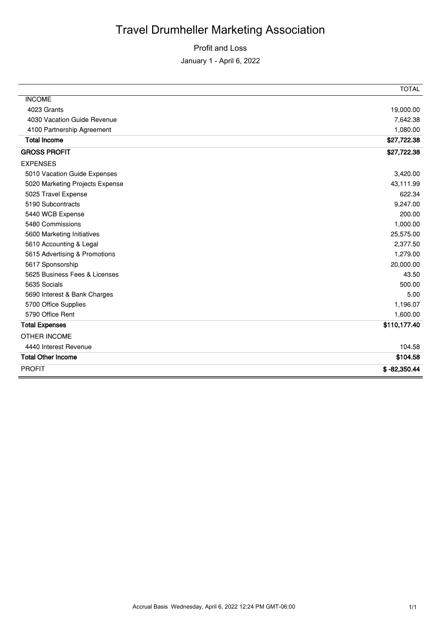Profit and Loss

January 1 - April 6, 2022

|                                 | <b>TOTAL</b>   |
|---------------------------------|----------------|
| <b>INCOME</b>                   |                |
| 4023 Grants                     | 19,000.00      |
| 4030 Vacation Guide Revenue     | 7,642.38       |
| 4100 Partnership Agreement      | 1,080.00       |
| <b>Total Income</b>             | \$27,722.38    |
| <b>GROSS PROFIT</b>             | \$27,722.38    |
| <b>EXPENSES</b>                 |                |
| 5010 Vacation Guide Expenses    | 3,420.00       |
| 5020 Marketing Projects Expense | 43,111.99      |
| 5025 Travel Expense             | 622.34         |
| 5190 Subcontracts               | 9,247.00       |
| 5440 WCB Expense                | 200.00         |
| 5480 Commissions                | 1,000.00       |
| 5600 Marketing Initiatives      | 25,575.00      |
| 5610 Accounting & Legal         | 2,377.50       |
| 5615 Advertising & Promotions   | 1,279.00       |
| 5617 Sponsorship                | 20,000.00      |
| 5625 Business Fees & Licenses   | 43.50          |
| 5635 Socials                    | 500.00         |
| 5690 Interest & Bank Charges    | 5.00           |
| 5700 Office Supplies            | 1,196.07       |
| 5790 Office Rent                | 1,600.00       |
| <b>Total Expenses</b>           | \$110,177.40   |
| <b>OTHER INCOME</b>             |                |
| 4440 Interest Revenue           | 104.58         |
| <b>Total Other Income</b>       | \$104.58       |
| <b>PROFIT</b>                   | $$ -82,350.44$ |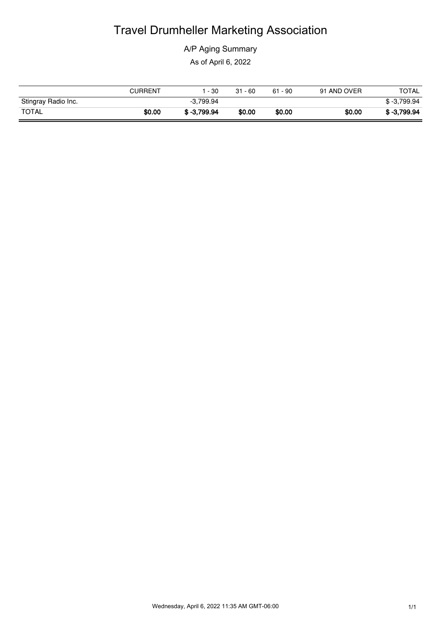A/P Aging Summary

As of April 6, 2022

|                     | <b>CURRENT</b> | - 30          | $31 - 60$ | $61 - 90$ | 91 AND OVER | TOTAL         |
|---------------------|----------------|---------------|-----------|-----------|-------------|---------------|
| Stingray Radio Inc. |                | $-3,799.94$   |           |           |             | $$ -3.799.94$ |
| <b>TOTAL</b>        | \$0.00         | $$ -3.799.94$ | \$0.00    | \$0.00    | \$0.00      | \$ 3.799.94   |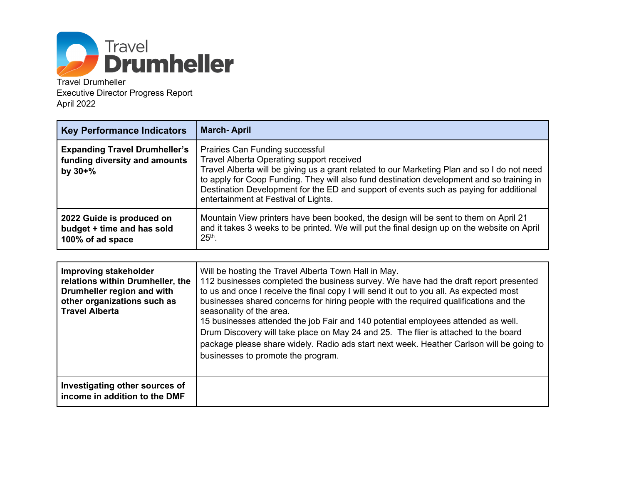

Travel Drumheller Executive Director Progress Report April 2022

| <b>Key Performance Indicators</b>                                                     | <b>March-April</b>                                                                                                                                                                                                                                                                                                                                                                                         |  |
|---------------------------------------------------------------------------------------|------------------------------------------------------------------------------------------------------------------------------------------------------------------------------------------------------------------------------------------------------------------------------------------------------------------------------------------------------------------------------------------------------------|--|
| <b>Expanding Travel Drumheller's</b><br>funding diversity and amounts<br>by $30 + \%$ | Prairies Can Funding successful<br>Travel Alberta Operating support received<br>Travel Alberta will be giving us a grant related to our Marketing Plan and so I do not need<br>to apply for Coop Funding. They will also fund destination development and so training in<br>Destination Development for the ED and support of events such as paying for additional<br>entertainment at Festival of Lights. |  |
| 2022 Guide is produced on<br>budget + time and has sold<br>100% of ad space           | Mountain View printers have been booked, the design will be sent to them on April 21<br>and it takes 3 weeks to be printed. We will put the final design up on the website on April<br>$25th$ .                                                                                                                                                                                                            |  |

| Improving stakeholder<br>relations within Drumheller, the<br>Drumheller region and with<br>other organizations such as<br><b>Travel Alberta</b> | Will be hosting the Travel Alberta Town Hall in May.<br>112 businesses completed the business survey. We have had the draft report presented<br>to us and once I receive the final copy I will send it out to you all. As expected most<br>businesses shared concerns for hiring people with the required qualifications and the<br>seasonality of the area.<br>15 businesses attended the job Fair and 140 potential employees attended as well.<br>Drum Discovery will take place on May 24 and 25. The flier is attached to the board<br>package please share widely. Radio ads start next week. Heather Carlson will be going to<br>businesses to promote the program. |
|-------------------------------------------------------------------------------------------------------------------------------------------------|----------------------------------------------------------------------------------------------------------------------------------------------------------------------------------------------------------------------------------------------------------------------------------------------------------------------------------------------------------------------------------------------------------------------------------------------------------------------------------------------------------------------------------------------------------------------------------------------------------------------------------------------------------------------------|
| Investigating other sources of<br>income in addition to the DMF                                                                                 |                                                                                                                                                                                                                                                                                                                                                                                                                                                                                                                                                                                                                                                                            |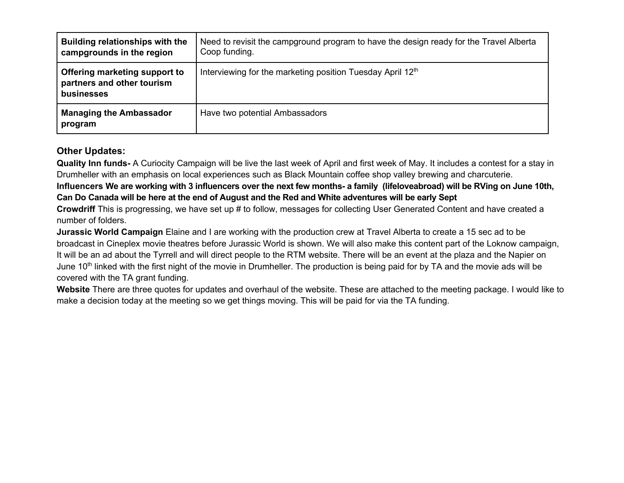| <b>Building relationships with the</b><br>campgrounds in the region       | Need to revisit the campground program to have the design ready for the Travel Alberta<br>Coop funding. |  |  |  |
|---------------------------------------------------------------------------|---------------------------------------------------------------------------------------------------------|--|--|--|
| Offering marketing support to<br>partners and other tourism<br>businesses | Interviewing for the marketing position Tuesday April 12th                                              |  |  |  |
| <b>Managing the Ambassador</b><br>program                                 | Have two potential Ambassadors                                                                          |  |  |  |

## **Other Updates:**

**Quality Inn funds-** A Curiocity Campaign will be live the last week of April and first week of May. It includes a contest for a stay in Drumheller with an emphasis on local experiences such as Black Mountain coffee shop valley brewing and charcuterie.

## **Influencers We are working with 3 influencers over the next few months- a family (lifeloveabroad) will be RVing on June 10th, Can Do Canada will be here at the end of August and the Red and White adventures will be early Sept**

**Crowdriff** This is progressing, we have set up # to follow, messages for collecting User Generated Content and have created a number of folders.

**Jurassic World Campaign** Elaine and I are working with the production crew at Travel Alberta to create a 15 sec ad to be broadcast in Cineplex movie theatres before Jurassic World is shown. We will also make this content part of the Loknow campaign, It will be an ad about the Tyrrell and will direct people to the RTM website. There will be an event at the plaza and the Napier on June 10<sup>th</sup> linked with the first night of the movie in Drumheller. The production is being paid for by TA and the movie ads will be covered with the TA grant funding.

**Website** There are three quotes for updates and overhaul of the website. These are attached to the meeting package. I would like to make a decision today at the meeting so we get things moving. This will be paid for via the TA funding.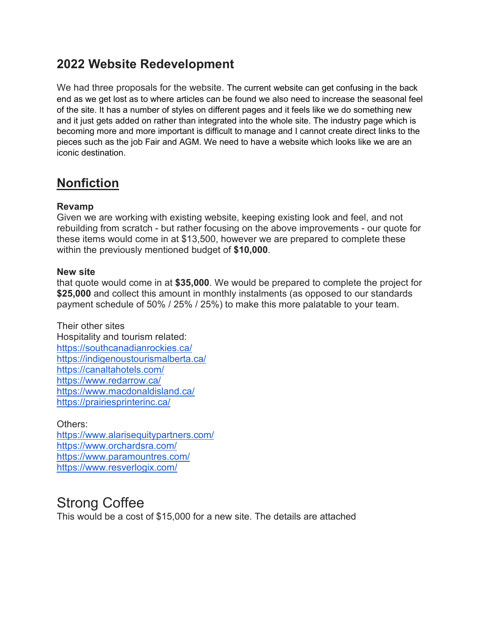## **2022 Website Redevelopment**

We had three proposals for the website. The current website can get confusing in the back end as we get lost as to where articles can be found we also need to increase the seasonal feel of the site. It has a number of styles on different pages and it feels like we do something new and it just gets added on rather than integrated into the whole site. The industry page which is becoming more and more important is difficult to manage and I cannot create direct links to the pieces such as the job Fair and AGM. We need to have a website which looks like we are an iconic destination.

## **Nonfiction**

## **Revamp**

Given we are working with existing website, keeping existing look and feel, and not rebuilding from scratch - but rather focusing on the above improvements - our quote for these items would come in at \$13,500, however we are prepared to complete these within the previously mentioned budget of **\$10,000**.

## **New site**

that quote would come in at **\$35,000**. We would be prepared to complete the project for **\$25,000** and collect this amount in monthly instalments (as opposed to our standards payment schedule of 50% / 25% / 25%) to make this more palatable to your team.

Their other sites Hospitality and tourism related: <https://southcanadianrockies.ca/> <https://indigenoustourismalberta.ca/> <https://canaltahotels.com/> <https://www.redarrow.ca/> <https://www.macdonaldisland.ca/> <https://prairiesprinterinc.ca/>

Others: <https://www.alarisequitypartners.com/> <https://www.orchardsra.com/> <https://www.paramountres.com/> <https://www.resverlogix.com/>

## Strong Coffee

This would be a cost of \$15,000 for a new site. The details are attached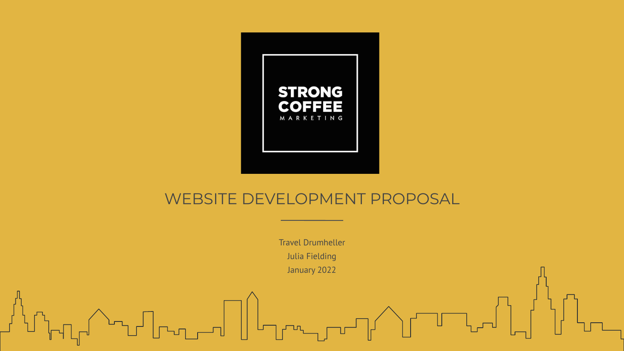

## WEBSITE DEVELOPMENT PROPOSAL

Travel Drumheller Julia Fielding January 2022

╓╓╲╌┰┚┎┰┰╌╗║╟┱┉ᠼ┲┵╖╱┟╌╜╌┰╜╠┪╵╟┖╍┑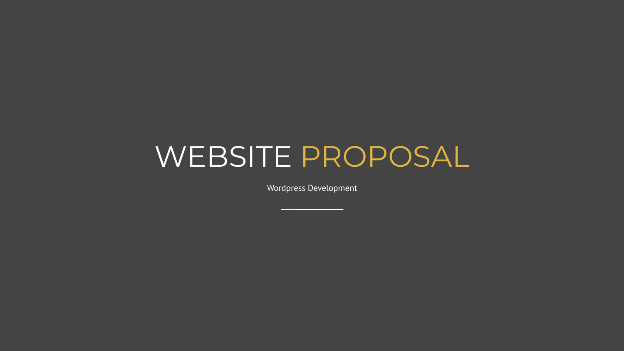## WEBSITE PROPOSAL

Wordpress Development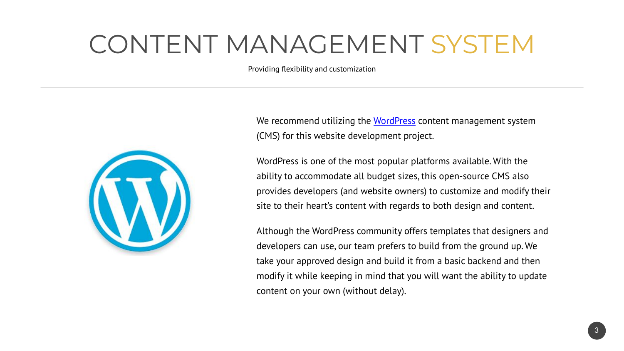## CONTENT MANAGEMENT SYSTEM

Providing flexibility and customization



We recommend utilizing the [WordPress](https://wordpress.org/) content management system (CMS) for this website development project.

WordPress is one of the most popular platforms available. With the ability to accommodate all budget sizes, this open-source CMS also provides developers (and website owners) to customize and modify their site to their heart's content with regards to both design and content.

Although the WordPress community offers templates that designers and developers can use, our team prefers to build from the ground up. We take your approved design and build it from a basic backend and then modify it while keeping in mind that you will want the ability to update content on your own (without delay).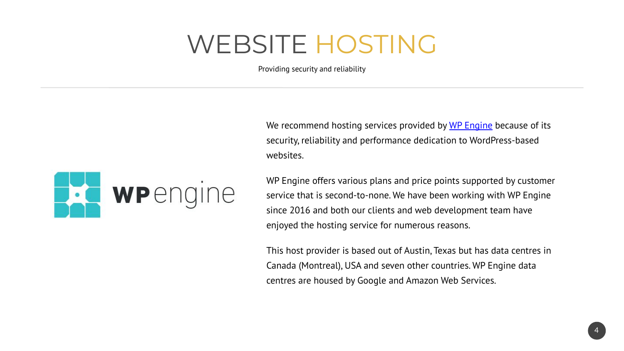## WEBSITE HOSTING

Providing security and reliability

We recommend hosting services provided by [WP Engine](https://wpengine.com/) because of its security, reliability and performance dedication to WordPress-based websites.



WP Engine offers various plans and price points supported by customer service that is second-to-none. We have been working with WP Engine since 2016 and both our clients and web development team have enjoyed the hosting service for numerous reasons.

This host provider is based out of Austin, Texas but has data centres in Canada (Montreal), USA and seven other countries. WP Engine data centres are housed by Google and Amazon Web Services.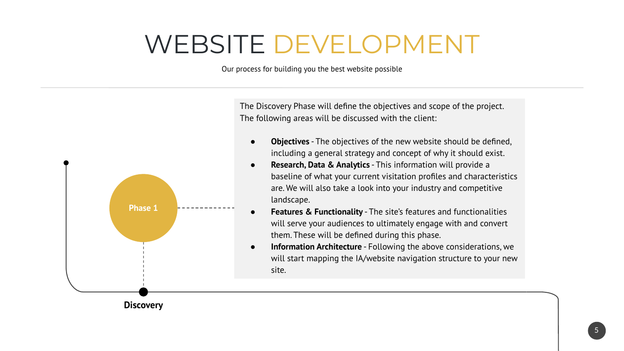## WEBSITE DEVELOPMENT

Our process for building you the best website possible

The Discovery Phase will define the objectives and scope of the project. The following areas will be discussed with the client:



**Objectives** - The objectives of the new website should be defined, including a general strategy and concept of why it should exist.

- **Research, Data & Analytics** This information will provide a baseline of what your current visitation profiles and characteristics are. We will also take a look into your industry and competitive landscape.
- **Features & Functionality** The site's features and functionalities will serve your audiences to ultimately engage with and convert them. These will be defined during this phase.
- **Information Architecture** Following the above considerations, we will start mapping the IA/website navigation structure to your new site.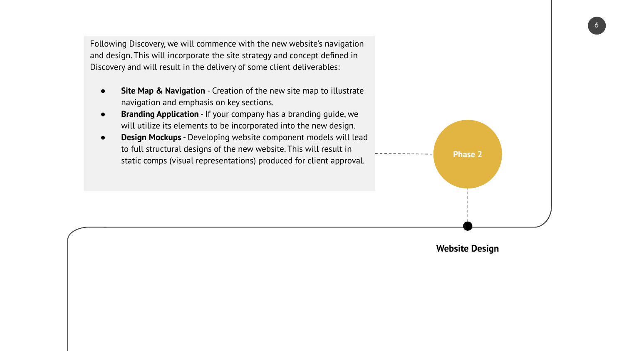Following Discovery, we will commence with the new website's navigation and design. This will incorporate the site strategy and concept defined in Discovery and will result in the delivery of some client deliverables:

- **Site Map & Navigation** Creation of the new site map to illustrate navigation and emphasis on key sections.
- **Branding Application** If your company has a branding guide, we will utilize its elements to be incorporated into the new design.
- **Design Mockups** Developing website component models will lead to full structural designs of the new website. This will result in static comps (visual representations) produced for client approval.



**Website Design**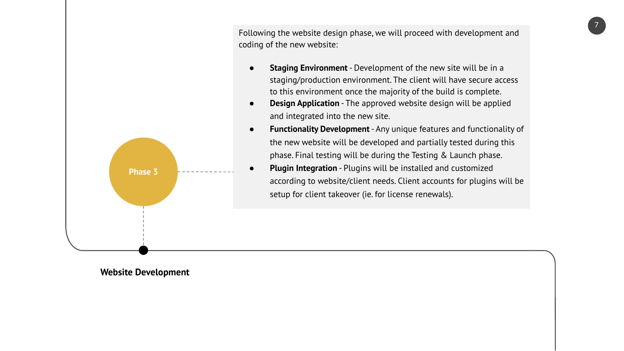Following the website design phase, we will proceed with development and coding of the new website:

- **Staging Environment** Development of the new site will be in a staging/production environment. The client will have secure access to this environment once the majority of the build is complete.
- **Design Application** The approved website design will be applied and integrated into the new site.



**Plugin Integration** - Plugins will be installed and customized according to website/client needs. Client accounts for plugins will be setup for client takeover (ie. for license renewals).



**Phase 3**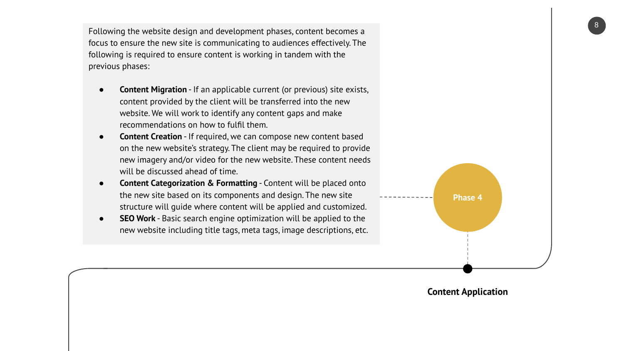Following the website design and development phases, content becomes a focus to ensure the new site is communicating to audiences effectively. The following is required to ensure content is working in tandem with the previous phases:

- **Content Migration** If an applicable current (or previous) site exists, content provided by the client will be transferred into the new website. We will work to identify any content gaps and make recommendations on how to fulfil them.
- **Content Creation** If required, we can compose new content based on the new website's strategy. The client may be required to provide new imagery and/or video for the new website. These content needs will be discussed ahead of time.
- **Content Categorization & Formatting** Content will be placed onto the new site based on its components and design. The new site structure will guide where content will be applied and customized.
- **SEO Work** Basic search engine optimization will be applied to the new website including title tags, meta tags, image descriptions, etc.



#### **Content Application**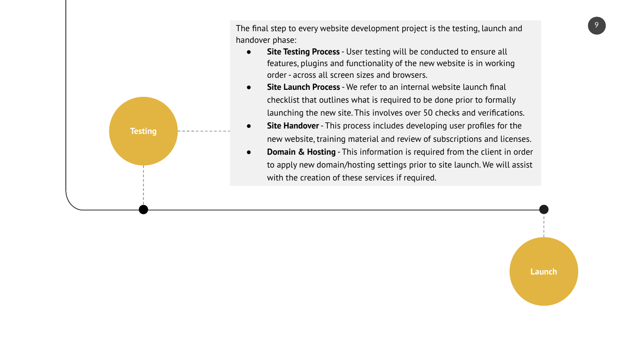**Testing**

The final step to every website development project is the testing, launch and handover phase:

- **Site Testing Process** User testing will be conducted to ensure all features, plugins and functionality of the new website is in working order - across all screen sizes and browsers.
- **Site Launch Process** We refer to an internal website launch final checklist that outlines what is required to be done prior to formally launching the new site. This involves over 50 checks and verifications.
- **Site Handover** This process includes developing user profiles for the new website, training material and review of subscriptions and licenses.
- **Domain & Hosting** This information is required from the client in order to apply new domain/hosting settings prior to site launch. We will assist with the creation of these services if required.

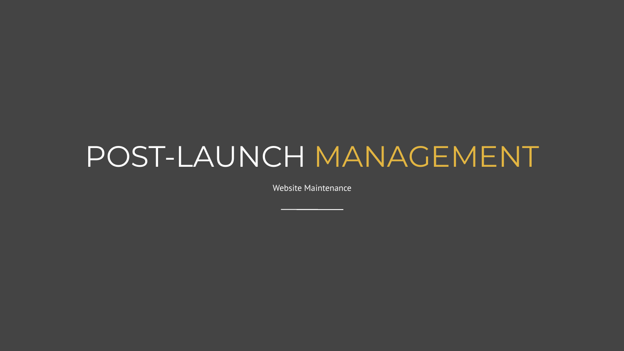# POST-LAUNCH MANAGEMENT

Website Maintenance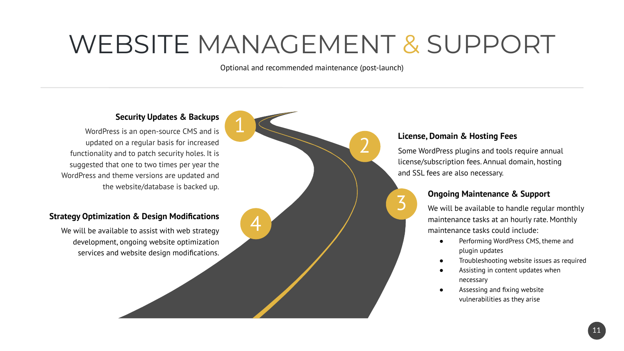## WEBSITE MANAGEMENT & SUPPORT

Optional and recommended maintenance (post-launch)

### **Security Updates & Backups**

WordPress is an open-source CMS and is updated on a regular basis for increased functionality and to patch security holes. It is suggested that one to two times per year the WordPress and theme versions are updated and the website/database is backed up.

#### **Strategy Optimization & Design Modifications**

We will be available to assist with web strategy development, ongoing website optimization services and website design modifications.



#### **License, Domain & Hosting Fees**

3

Some WordPress plugins and tools require annual license/subscription fees. Annual domain, hosting and SSL fees are also necessary.

#### **Ongoing Maintenance & Support**

We will be available to handle regular monthly maintenance tasks at an hourly rate. Monthly maintenance tasks could include:

- Performing WordPress CMS, theme and plugin updates
- Troubleshooting website issues as required
- Assisting in content updates when necessary
- Assessing and fixing website vulnerabilities as they arise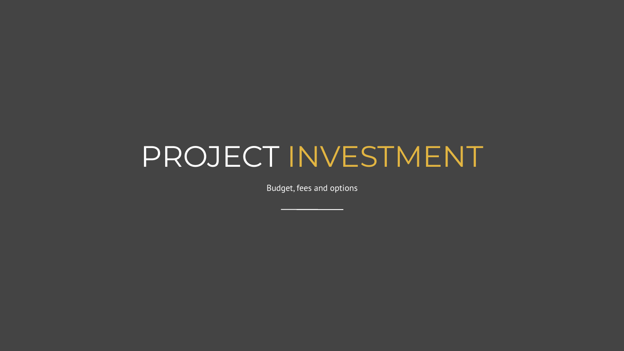## PROJECT INVESTMENT

Budget, fees and options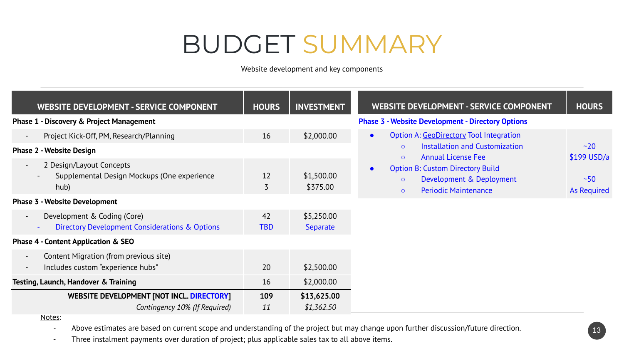## BUDGET SUMMARY

Website development and key components

| WEBSITE DEVELOPMENT - SERVICE COMPONENT                                                                                             | <b>HOURS</b> | <b>INVESTMENT</b>      | WEBSITE DEVELOPMENT - SERVICE COMPONENT                                                                                  | <b>HOURS</b>        |  |
|-------------------------------------------------------------------------------------------------------------------------------------|--------------|------------------------|--------------------------------------------------------------------------------------------------------------------------|---------------------|--|
| Phase 1 - Discovery & Project Management                                                                                            |              |                        | <b>Phase 3 - Website Development - Directory Options</b>                                                                 |                     |  |
| Project Kick-Off, PM, Research/Planning<br>$\sim$                                                                                   | 16           | \$2,000.00             | Option A: GeoDirectory Tool Integration<br>$\bullet$                                                                     |                     |  |
| <b>Phase 2 - Website Design</b>                                                                                                     |              |                        | Installation and Customization<br>$\Omega$<br><b>Annual License Fee</b><br>$\circ$                                       | ~20<br>$$199$ USD/a |  |
| 2 Design/Layout Concepts<br>$\overline{\phantom{a}}$<br>Supplemental Design Mockups (One experience<br>hub)                         | 12<br>3      | \$1,500.00<br>\$375.00 | <b>Option B: Custom Directory Build</b><br>Development & Deployment<br>$\circ$<br><b>Periodic Maintenance</b><br>$\circ$ | ~50<br>As Required  |  |
| <b>Phase 3 - Website Development</b>                                                                                                |              |                        |                                                                                                                          |                     |  |
| Development & Coding (Core)<br>$\overline{\phantom{a}}$<br><b>Directory Development Considerations &amp; Options</b>                | 42<br>TBD    | \$5,250.00<br>Separate |                                                                                                                          |                     |  |
| Phase 4 - Content Application & SEO                                                                                                 |              |                        |                                                                                                                          |                     |  |
| Content Migration (from previous site)<br>$\overline{\phantom{a}}$<br>Includes custom "experience hubs"<br>$\overline{\phantom{a}}$ | 20           | \$2,500.00             |                                                                                                                          |                     |  |
| Testing, Launch, Handover & Training                                                                                                | 16           | \$2,000.00             |                                                                                                                          |                     |  |
| WEBSITE DEVELOPMENT [NOT INCL. DIRECTORY]                                                                                           | 109          | \$13,625.00            |                                                                                                                          |                     |  |
| Contingency 10% (If Required)<br>$A + B + C$                                                                                        | 11           | \$1,362.50             |                                                                                                                          |                     |  |

Notes:

- Above estimates are based on current scope and understanding of the project but may change upon further discussion/future direction.

- Three instalment payments over duration of project; plus applicable sales tax to all above items.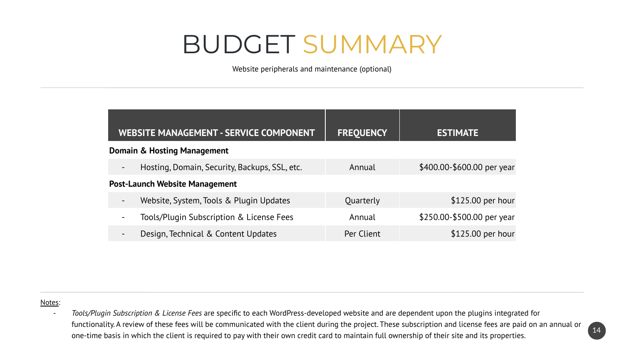## BUDGET SUMMARY

Website peripherals and maintenance (optional)

| <b>WEBSITE MANAGEMENT - SERVICE COMPONENT</b>                             | <b>FREQUENCY</b> | <b>ESTIMATE</b>            |                   |
|---------------------------------------------------------------------------|------------------|----------------------------|-------------------|
| Domain & Hosting Management                                               |                  |                            |                   |
| Hosting, Domain, Security, Backups, SSL, etc.<br>$\overline{\phantom{a}}$ | Annual           | \$400.00-\$600.00 per year |                   |
| <b>Post-Launch Website Management</b>                                     |                  |                            |                   |
| Website, System, Tools & Plugin Updates<br>$\overline{\phantom{a}}$       | Quarterly        |                            | \$125.00 per hour |
| Tools/Plugin Subscription & License Fees<br>$\overline{\phantom{a}}$      | Annual           | \$250.00-\$500.00 per year |                   |
| Design, Technical & Content Updates<br>$\overline{\phantom{a}}$           | Per Client       |                            | \$125.00 per hour |

#### Notes:

- *Tools/Plugin Subscription & License Fees* are specific to each WordPress-developed website and are dependent upon the plugins integrated for functionality. A review of these fees will be communicated with the client during the project. These subscription and license fees are paid on an annual or one-time basis in which the client is required to pay with their own credit card to maintain full ownership of their site and its properties.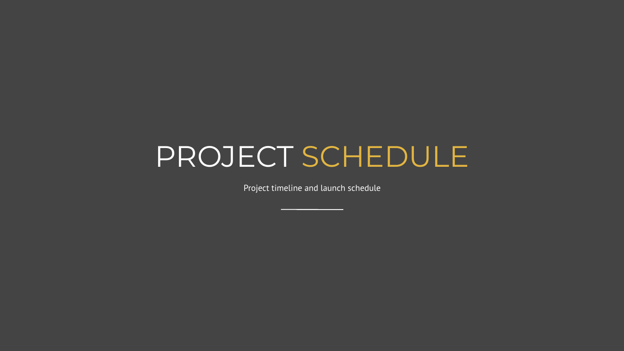## PROJECT SCHEDULE

Project timeline and launch schedule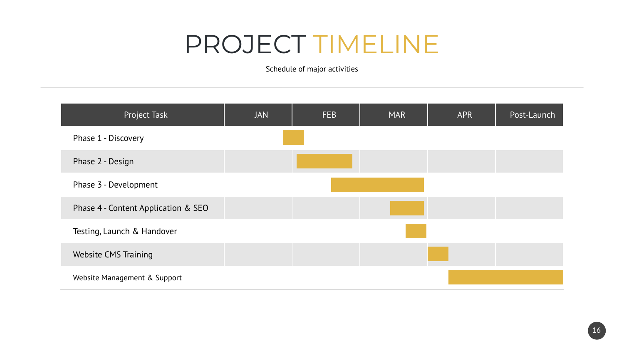## PROJECT TIMELINE

Schedule of major activities

| Project Task                        | <b>JAN</b> | <b>FEB</b> | <b>MAR</b> | <b>APR</b> | Post-Launch |
|-------------------------------------|------------|------------|------------|------------|-------------|
| Phase 1 - Discovery                 |            |            |            |            |             |
| Phase 2 - Design                    |            |            |            |            |             |
| Phase 3 - Development               |            |            |            |            |             |
| Phase 4 - Content Application & SEO |            |            |            |            |             |
| Testing, Launch & Handover          |            |            |            |            |             |
| Website CMS Training                |            |            |            |            |             |
| Website Management & Support        |            |            |            |            |             |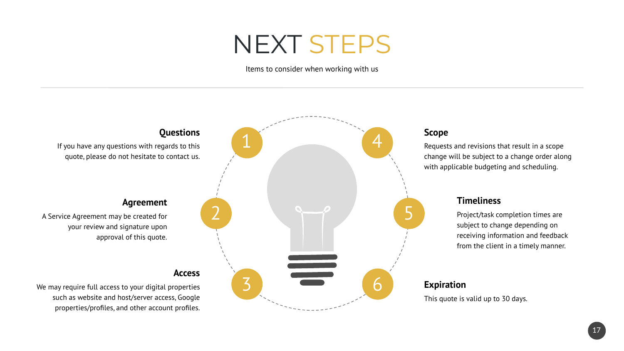## NEXT STEPS

Items to consider when working with us



#### **Scope**

Requests and revisions that result in a scope change will be subject to a change order along with applicable budgeting and scheduling.

## **Timeliness**

Project/task completion times are subject to change depending on receiving information and feedback from the client in a timely manner.

## 6 **Expiration**

This quote is valid up to 30 days.

#### **Agreement**

A Service Agreement may be created for your review and signature upon approval of this quote.

We may require full access to your digital properties such as website and host/server access, Google properties/profiles, and other account profiles.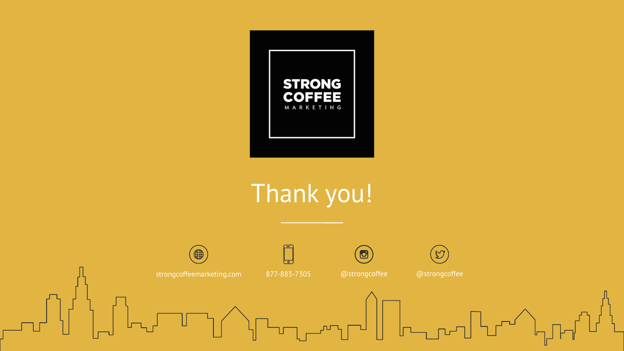

## Thank you!

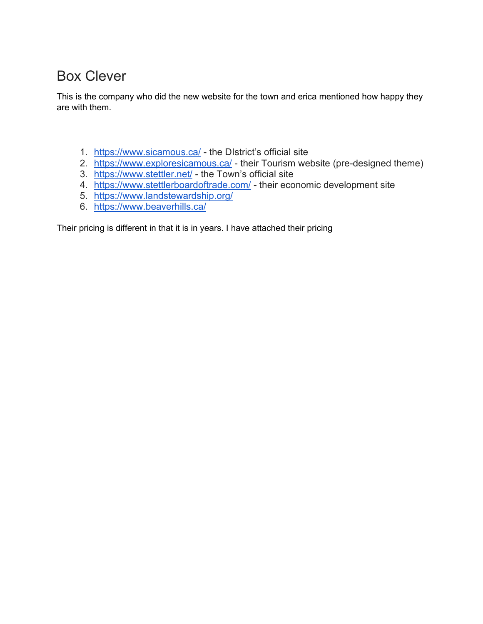## Box Clever

This is the company who did the new website for the town and erica mentioned how happy they are with them.

- 1. <https://www.sicamous.ca/> the DIstrict's official site
- 2. <https://www.exploresicamous.ca/> their Tourism website (pre-designed theme)
- 3. <https://www.stettler.net/> the Town's official site
- 4. <https://www.stettlerboardoftrade.com/> their economic development site
- 5. <https://www.landstewardship.org/>
- 6. <https://www.beaverhills.ca/>

Their pricing is different in that it is in years. I have attached their pricing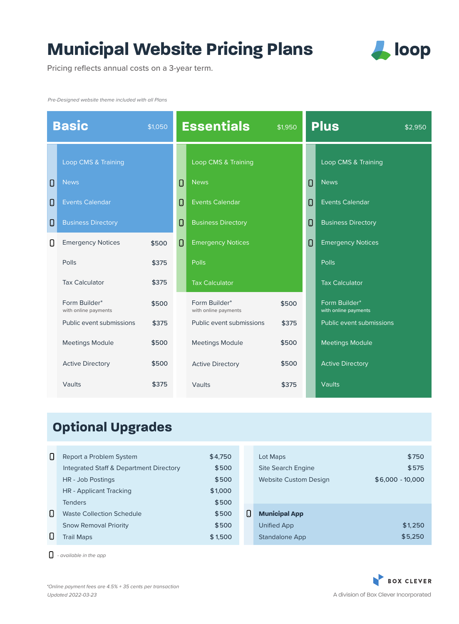## **Municipal Website Pricing Plans**



Pricing reflects annual costs on a 3-year term.

*Pre-Designed website theme included with all Plans*

| <b>Basic</b><br>\$1,050 |                                       |       | <b>Essentials</b> | \$1,950                               |       | <b>Plus</b><br>\$2.950 |                                       |
|-------------------------|---------------------------------------|-------|-------------------|---------------------------------------|-------|------------------------|---------------------------------------|
|                         | Loop CMS & Training                   |       |                   | Loop CMS & Training                   |       |                        | Loop CMS & Training                   |
| 0                       | <b>News</b>                           |       | $\Box$            | <b>News</b>                           |       | Ω                      | <b>News</b>                           |
| 0                       | <b>Events Calendar</b>                |       | 0                 | <b>Events Calendar</b>                |       | $\Box$                 | <b>Events Calendar</b>                |
| 0                       | <b>Business Directory</b>             |       | 0                 | <b>Business Directory</b>             |       | 0                      | <b>Business Directory</b>             |
| O                       | <b>Emergency Notices</b>              | \$500 | 0                 | <b>Emergency Notices</b>              |       | 0                      | <b>Emergency Notices</b>              |
|                         | Polls                                 | \$375 |                   | Polls                                 |       |                        | Polls                                 |
|                         | <b>Tax Calculator</b>                 | \$375 |                   | <b>Tax Calculator</b>                 |       |                        | <b>Tax Calculator</b>                 |
|                         | Form Builder*<br>with online payments | \$500 |                   | Form Builder*<br>with online payments | \$500 |                        | Form Builder*<br>with online payments |
|                         | Public event submissions              | \$375 |                   | Public event submissions              | \$375 |                        | Public event submissions              |
|                         | <b>Meetings Module</b>                | \$500 |                   | <b>Meetings Module</b>                | \$500 |                        | <b>Meetings Module</b>                |
|                         | <b>Active Directory</b>               | \$500 |                   | <b>Active Directory</b>               | \$500 |                        | <b>Active Directory</b>               |
|                         | Vaults                                | \$375 |                   | Vaults                                | \$375 |                        | Vaults                                |

## **Optional Upgrades**

| 0 | Report a Problem System                 | \$4,750 |   | Lot Maps                     | \$750             |
|---|-----------------------------------------|---------|---|------------------------------|-------------------|
|   | Integrated Staff & Department Directory | \$500   |   | <b>Site Search Engine</b>    | \$575             |
|   | HR - Job Postings                       | \$500   |   | <b>Website Custom Design</b> | $$6.000 - 10.000$ |
|   | HR - Applicant Tracking                 | \$1,000 |   |                              |                   |
|   | <b>Tenders</b>                          | \$500   |   |                              |                   |
| 0 | <b>Waste Collection Schedule</b>        | \$500   | 0 | <b>Municipal App</b>         |                   |
|   | <b>Snow Removal Priority</b>            | \$500   |   | Unified App                  | \$1,250           |
|   | <b>Trail Maps</b>                       | \$1,500 |   | Standalone App               | \$5,250           |

*- available in the app*